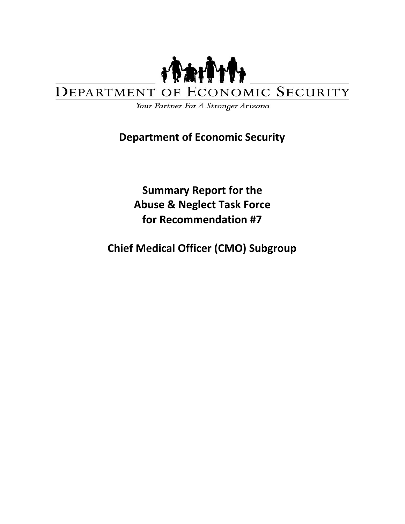

#### **ECONOMIC SECURITY** DEPARTMENT OF

Your Partner For A Stronger Arizona

# **Department of Economic Security**

**Summary Report for the Abuse & Neglect Task Force for Recommendation #7**

**Chief Medical Officer (CMO) Subgroup**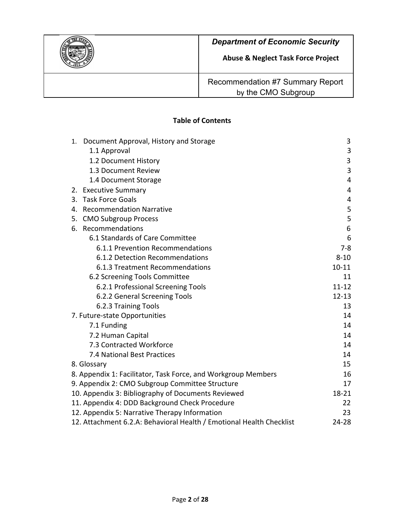

**Abuse & Neglect Task Force Project**

Recommendation #7 Summary Report by the CMO Subgroup

### **Table of Contents**

| Document Approval, History and Storage<br>1.                         | 3         |
|----------------------------------------------------------------------|-----------|
| 1.1 Approval                                                         | 3         |
| 1.2 Document History                                                 | 3         |
| 1.3 Document Review                                                  | 3         |
| 1.4 Document Storage                                                 | 4         |
| 2. Executive Summary                                                 | 4         |
| 3. Task Force Goals                                                  | 4         |
| 4. Recommendation Narrative                                          | 5         |
| 5. CMO Subgroup Process                                              | 5         |
| 6. Recommendations                                                   | 6         |
| 6.1 Standards of Care Committee                                      | 6         |
| 6.1.1 Prevention Recommendations                                     | $7-8$     |
| 6.1.2 Detection Recommendations                                      | $8 - 10$  |
| 6.1.3 Treatment Recommendations                                      | $10 - 11$ |
| 6.2 Screening Tools Committee                                        | 11        |
| 6.2.1 Professional Screening Tools                                   | $11 - 12$ |
| 6.2.2 General Screening Tools                                        | $12 - 13$ |
| 6.2.3 Training Tools                                                 | 13        |
| 7. Future-state Opportunities                                        | 14        |
| 7.1 Funding                                                          | 14        |
| 7.2 Human Capital                                                    | 14        |
| 7.3 Contracted Workforce                                             | 14        |
| 7.4 National Best Practices                                          | 14        |
| 8. Glossary                                                          | 15        |
| 8. Appendix 1: Facilitator, Task Force, and Workgroup Members        | 16        |
| 9. Appendix 2: CMO Subgroup Committee Structure                      | 17        |
| 10. Appendix 3: Bibliography of Documents Reviewed                   | $18 - 21$ |
| 11. Appendix 4: DDD Background Check Procedure                       | 22        |
| 12. Appendix 5: Narrative Therapy Information                        | 23        |
| 12. Attachment 6.2.A: Behavioral Health / Emotional Health Checklist | 24-28     |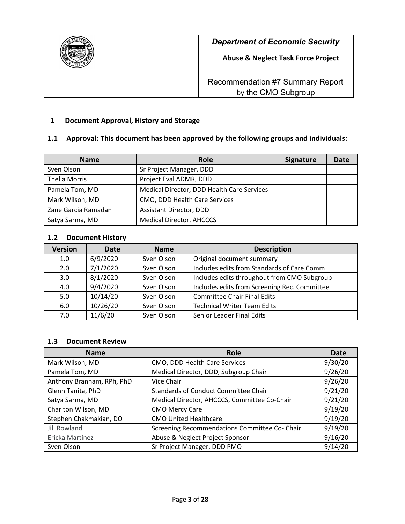

# **1 Document Approval, History and Storage**

# **1.1 Approval: This document has been approved by the following groups and individuals:**

| <b>Name</b>          | <b>Role</b>                                | <b>Signature</b> | Date |
|----------------------|--------------------------------------------|------------------|------|
| Sven Olson           | Sr Project Manager, DDD                    |                  |      |
| <b>Thelia Morris</b> | Project Eval ADMR, DDD                     |                  |      |
| Pamela Tom, MD       | Medical Director, DDD Health Care Services |                  |      |
| Mark Wilson, MD      | CMO, DDD Health Care Services              |                  |      |
| Zane Garcia Ramadan  | Assistant Director, DDD                    |                  |      |
| Satya Sarma, MD      | <b>Medical Director, AHCCCS</b>            |                  |      |

#### **1.2 Document History**

| <b>Version</b> | Date     | <b>Name</b> | <b>Description</b>                           |
|----------------|----------|-------------|----------------------------------------------|
| 1.0            | 6/9/2020 | Sven Olson  | Original document summary                    |
| 2.0            | 7/1/2020 | Sven Olson  | Includes edits from Standards of Care Comm   |
| 3.0            | 8/1/2020 | Sven Olson  | Includes edits throughout from CMO Subgroup  |
| 4.0            | 9/4/2020 | Sven Olson  | Includes edits from Screening Rec. Committee |
| 5.0            | 10/14/20 | Sven Olson  | <b>Committee Chair Final Edits</b>           |
| 6.0            | 10/26/20 | Sven Olson  | <b>Technical Writer Team Edits</b>           |
| 7.0            | 11/6/20  | Sven Olson  | Senior Leader Final Edits                    |

#### **1.3 Document Review**

| <b>Name</b>               | Role                                          | Date    |
|---------------------------|-----------------------------------------------|---------|
| Mark Wilson, MD           | CMO, DDD Health Care Services                 | 9/30/20 |
| Pamela Tom, MD            | Medical Director, DDD, Subgroup Chair         | 9/26/20 |
| Anthony Branham, RPh, PhD | Vice Chair                                    | 9/26/20 |
| Glenn Tanita, PhD         | <b>Standards of Conduct Committee Chair</b>   | 9/21/20 |
| Satya Sarma, MD           | Medical Director, AHCCCS, Committee Co-Chair  | 9/21/20 |
| Charlton Wilson, MD       | <b>CMO Mercy Care</b>                         | 9/19/20 |
| Stephen Chakmakian, DO    | <b>CMO United Healthcare</b>                  | 9/19/20 |
| <b>Jill Rowland</b>       | Screening Recommendations Committee Co- Chair | 9/19/20 |
| Ericka Martinez           | Abuse & Neglect Project Sponsor               | 9/16/20 |
| Sven Olson                | Sr Project Manager, DDD PMO                   | 9/14/20 |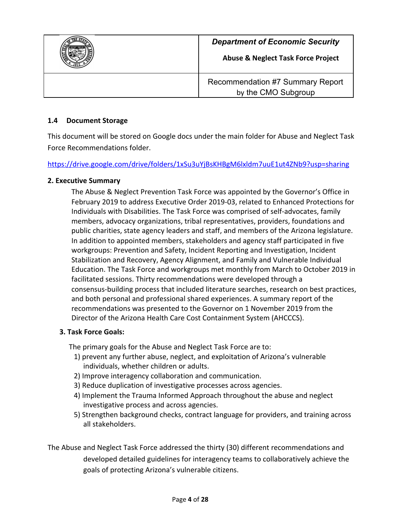

### **1.4 Document Storage**

This document will be stored on Google docs under the main folder for Abuse and Neglect Task Force Recommendations folder.

<https://drive.google.com/drive/folders/1xSu3uYjBsKHBgM6lxldm7uuE1ut4ZNb9?usp=sharing>

#### **2. Executive Summary**

The Abuse & Neglect Prevention Task Force was appointed by the Governor's Office in February 2019 to address Executive Order 2019-03, related to Enhanced Protections for Individuals with Disabilities. The Task Force was comprised of self-advocates, family members, advocacy organizations, tribal representatives, providers, foundations and public charities, state agency leaders and staff, and members of the Arizona legislature. In addition to appointed members, stakeholders and agency staff participated in five workgroups: Prevention and Safety, Incident Reporting and Investigation, Incident Stabilization and Recovery, Agency Alignment, and Family and Vulnerable Individual Education. The Task Force and workgroups met monthly from March to October 2019 in facilitated sessions. Thirty recommendations were developed through a consensus-building process that included literature searches, research on best practices, and both personal and professional shared experiences. A summary report of the recommendations was presented to the Governor on 1 November 2019 from the Director of the Arizona Health Care Cost Containment System (AHCCCS).

#### **3. Task Force Goals:**

The primary goals for the Abuse and Neglect Task Force are to:

- 1) prevent any further abuse, neglect, and exploitation of Arizona's vulnerable individuals, whether children or adults.
- 2) Improve interagency collaboration and communication.
- 3) Reduce duplication of investigative processes across agencies.
- 4) Implement the Trauma Informed Approach throughout the abuse and neglect investigative process and across agencies.
- 5) Strengthen background checks, contract language for providers, and training across all stakeholders.

The Abuse and Neglect Task Force addressed the thirty (30) different recommendations and developed detailed guidelines for interagency teams to collaboratively achieve the goals of protecting Arizona's vulnerable citizens.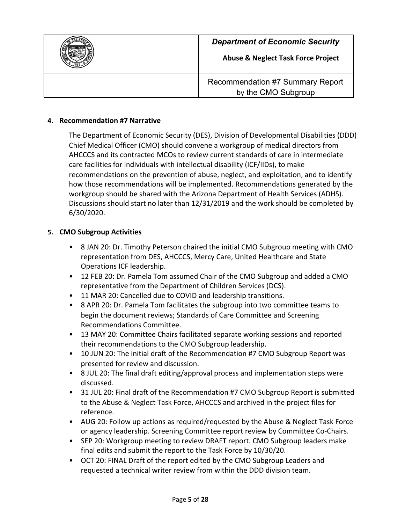

#### **4. Recommendation #7 Narrative**

The Department of Economic Security (DES), Division of Developmental Disabilities (DDD) Chief Medical Officer (CMO) should convene a workgroup of medical directors from AHCCCS and its contracted MCOs to review current standards of care in intermediate care facilities for individuals with intellectual disability (ICF/IIDs), to make recommendations on the prevention of abuse, neglect, and exploitation, and to identify how those recommendations will be implemented. Recommendations generated by the workgroup should be shared with the Arizona Department of Health Services (ADHS). Discussions should start no later than 12/31/2019 and the work should be completed by 6/30/2020.

#### **5. CMO Subgroup Activities**

- *•* 8 JAN 20: Dr. Timothy Peterson chaired the initial CMO Subgroup meeting with CMO representation from DES, AHCCCS, Mercy Care, United Healthcare and State Operations ICF leadership.
- *•* 12 FEB 20: Dr. Pamela Tom assumed Chair of the CMO Subgroup and added a CMO representative from the Department of Children Services (DCS).
- *•* 11 MAR 20: Cancelled due to COVID and leadership transitions.
- *•* 8 APR 20: Dr. Pamela Tom facilitates the subgroup into two committee teams to begin the document reviews; Standards of Care Committee and Screening Recommendations Committee.
- *•* 13 MAY 20: Committee Chairs facilitated separate working sessions and reported their recommendations to the CMO Subgroup leadership.
- *•* 10 JUN 20: The initial draft of the Recommendation #7 CMO Subgroup Report was presented for review and discussion.
- *•* 8 JUL 20: The final draft editing/approval process and implementation steps were discussed.
- *•* 31 JUL 20: Final draft of the Recommendation #7 CMO Subgroup Report is submitted to the Abuse & Neglect Task Force, AHCCCS and archived in the project files for reference.
- *•* AUG 20: Follow up actions as required/requested by the Abuse & Neglect Task Force or agency leadership. Screening Committee report review by Committee Co-Chairs.
- *•* SEP 20: Workgroup meeting to review DRAFT report. CMO Subgroup leaders make final edits and submit the report to the Task Force by 10/30/20.
- *•* OCT 20: FINAL Draft of the report edited by the CMO Subgroup Leaders and requested a technical writer review from within the DDD division team.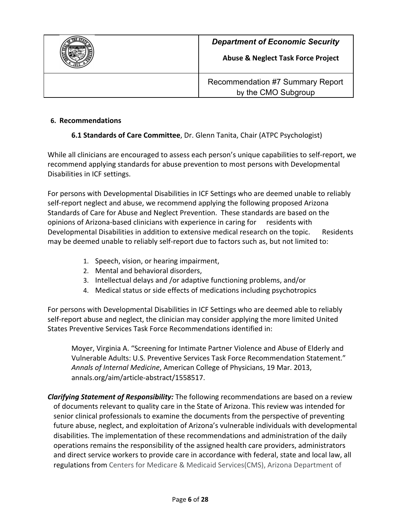

#### **6. Recommendations**

# **6.1 Standards of Care Committee**, Dr. Glenn Tanita, Chair (ATPC Psychologist)

While all clinicians are encouraged to assess each person's unique capabilities to self-report, we recommend applying standards for abuse prevention to most persons with Developmental Disabilities in ICF settings.

For persons with Developmental Disabilities in ICF Settings who are deemed unable to reliably self-report neglect and abuse, we recommend applying the following proposed Arizona Standards of Care for Abuse and Neglect Prevention. These standards are based on the opinions of Arizona-based clinicians with experience in caring for residents with Developmental Disabilities in addition to extensive medical research on the topic. Residents may be deemed unable to reliably self-report due to factors such as, but not limited to:

- 1. Speech, vision, or hearing impairment,
- 2. Mental and behavioral disorders,
- 3. Intellectual delays and /or adaptive functioning problems, and/or
- 4. Medical status or side effects of medications including psychotropics

For persons with Developmental Disabilities in ICF Settings who are deemed able to reliably self-report abuse and neglect, the clinician may consider applying the more limited United States Preventive Services Task Force Recommendations identified in:

Moyer, Virginia A. "Screening for Intimate Partner Violence and Abuse of Elderly and Vulnerable Adults: U.S. Preventive Services Task Force Recommendation Statement." *Annals of Internal Medicine*, American College of Physicians, 19 Mar. 2013, annals.org/aim/article-abstract/1558517.

*Clarifying Statement of Responsibility:* The following recommendations are based on a review of documents relevant to quality care in the State of Arizona. This review was intended for senior clinical professionals to examine the documents from the perspective of preventing future abuse, neglect, and exploitation of Arizona's vulnerable individuals with developmental disabilities. The implementation of these recommendations and administration of the daily operations remains the responsibility of the assigned health care providers, administrators and direct service workers to provide care in accordance with federal, state and local law, all regulations from Centers for Medicare & Medicaid Services(CMS), Arizona Department of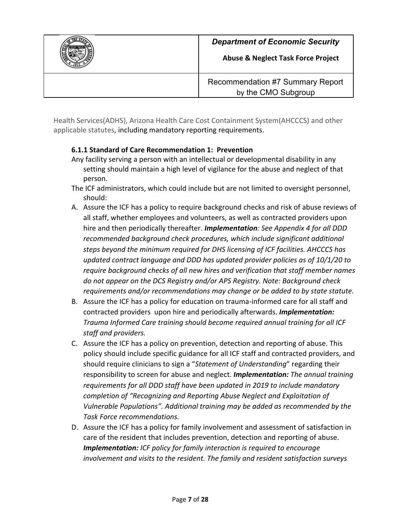

Health Services(ADHS), Arizona Health Care Cost Containment System(AHCCCS) and other applicable statutes, including mandatory reporting requirements.

#### **6.1.1 Standard of Care Recommendation 1: Prevention**

- Any facility serving a person with an intellectual or developmental disability in any setting should maintain a high level of vigilance for the abuse and neglect of that person.
- The ICF administrators, which could include but are not limited to oversight personnel, should:
- A. Assure the ICF has a policy to require background checks and risk of abuse reviews of all staff, whether employees and volunteers, as well as contracted providers upon hire and then periodically thereafter. *Implementation: See Appendix 4 for all DDD recommended background check procedures, which include significant additional steps beyond the minimum required for DHS licensing of ICF facilities. AHCCCS has updated contract language and DDD has updated provider policies as of 10/1/20 to require background checks of all new hires and verification that staff member names do not appear on the DCS Registry and/or APS Registry. Note: Background check requirements and/or recommendations may change or be added to by state statute.*
- B. Assure the ICF has a policy for education on trauma-informed care for all staff and contracted providers upon hire and periodically afterwards. *Implementation: Trauma Informed Care training should become required annual training for all ICF staff and providers.*
- C. Assure the ICF has a policy on prevention, detection and reporting of abuse. This policy should include specific guidance for all ICF staff and contracted providers, and should require clinicians to sign a "*Statement of Understanding*" regarding their responsibility to screen for abuse and neglect. *Implementation: The annual training requirements for all DDD staff have been updated in 2019 to include mandatory completion of "Recognizing and Reporting Abuse Neglect and Exploitation of Vulnerable Populations". Additional training may be added as recommended by the Task Force recommendations.*
- D. Assure the ICF has a policy for family involvement and assessment of satisfaction in care of the resident that includes prevention, detection and reporting of abuse. *Implementation: ICF policy for family interaction is required to encourage involvement and visits to the resident. The family and resident satisfaction surveys*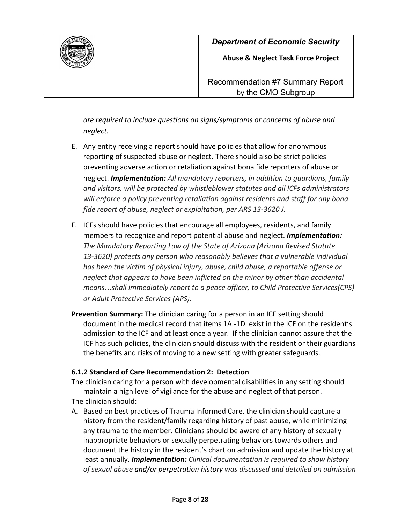

**Abuse & Neglect Task Force Project**

Recommendation #7 Summary Report by the CMO Subgroup

*are required to include questions on signs/symptoms or concerns of abuse and neglect.*

- E. Any entity receiving a report should have policies that allow for anonymous reporting of suspected abuse or neglect. There should also be strict policies preventing adverse action or retaliation against bona fide reporters of abuse or neglect. *Implementation: All mandatory reporters, in addition to guardians, family and visitors, will be protected by whistleblower statutes and all ICFs administrators will enforce a policy preventing retaliation against residents and staff for any bona fide report of abuse, neglect or exploitation, per ARS 13-3620 J.*
- F. ICFs should have policies that encourage all employees, residents, and family members to recognize and report potential abuse and neglect. *Implementation: The Mandatory Reporting Law of the State of Arizona (Arizona Revised Statute 13-3620) protects any person who reasonably believes that a vulnerable individual has been the victim of physical injury, abuse, child abuse, a reportable offense or neglect that appears to have been inflicted on the minor by other than accidental means*…*shall immediately report to a peace officer, to Child Protective Services(CPS) or Adult Protective Services (APS).*
- **Prevention Summary:** The clinician caring for a person in an ICF setting should document in the medical record that items 1A.-1D. exist in the ICF on the resident's admission to the ICF and at least once a year. If the clinician cannot assure that the ICF has such policies, the clinician should discuss with the resident or their guardians the benefits and risks of moving to a new setting with greater safeguards.

# **6.1.2 Standard of Care Recommendation 2: Detection**

The clinician caring for a person with developmental disabilities in any setting should maintain a high level of vigilance for the abuse and neglect of that person.

The clinician should:

A. Based on best practices of Trauma Informed Care, the clinician should capture a history from the resident/family regarding history of past abuse, while minimizing any trauma to the member. Clinicians should be aware of any history of sexually inappropriate behaviors or sexually perpetrating behaviors towards others and document the history in the resident's chart on admission and update the history at least annually. *Implementation: Clinical documentation is required to show history of sexual abuse and/or perpetration history was discussed and detailed on admission*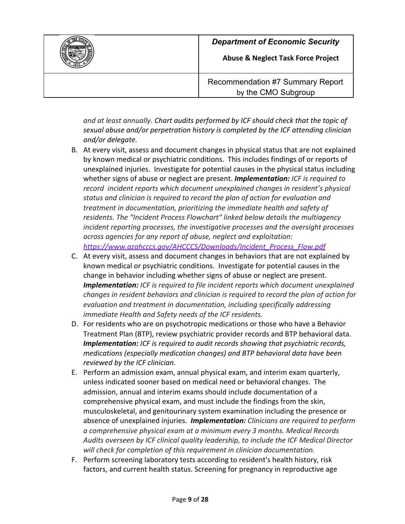

**Abuse & Neglect Task Force Project**



Recommendation #7 Summary Report by the CMO Subgroup

*and at least annually. Chart audits performed by ICF should check that the topic of sexual abuse and/or perpetration history is completed by the ICF attending clinician and/or delegate.*

- B. At every visit, assess and document changes in physical status that are not explained by known medical or psychiatric conditions. This includes findings of or reports of unexplained injuries. Investigate for potential causes in the physical status including whether signs of abuse or neglect are present. *Implementation: ICF is required to record incident reports which document unexplained changes in resident's physical status and clinician is required to record the plan of action for evaluation and treatment in documentation, prioritizing the immediate health and safety of residents. The "Incident Process Flowchart" linked below details the multiagency incident reporting processes, the investigative processes and the oversight processes across agencies for any report of abuse, neglect and exploitation: [https://www.azahcccs.gov/AHCCCS/Downloads/Incident\\_Process\\_Flow.pdf](https://www.azahcccs.gov/AHCCCS/Downloads/Incident_Process_Flow.pdf)*
- C. At every visit, assess and document changes in behaviors that are not explained by known medical or psychiatric conditions. Investigate for potential causes in the change in behavior including whether signs of abuse or neglect are present. *Implementation: ICF is required to file incident reports which document unexplained changes in resident behaviors and clinician is required to record the plan of action for evaluation and treatment in documentation, including specifically addressing immediate Health and Safety needs of the ICF residents.*
- D. For residents who are on psychotropic medications or those who have a Behavior Treatment Plan (BTP), review psychiatric provider records and BTP behavioral data. *Implementation: ICF is required to audit records showing that psychiatric records, medications (especially medication changes) and BTP behavioral data have been reviewed by the ICF clinician.*
- E. Perform an admission exam, annual physical exam, and interim exam quarterly, unless indicated sooner based on medical need or behavioral changes. The admission, annual and interim exams should include documentation of a comprehensive physical exam, and must include the findings from the skin, musculoskeletal, and genitourinary system examination including the presence or absence of unexplained injuries. *Implementation: Clinicians are required to perform a comprehensive physical exam at a minimum every 3 months. Medical Records Audits overseen by ICF clinical quality leadership, to include the ICF Medical Director will check for completion of this requirement in clinician documentation.*
- F. Perform screening laboratory tests according to resident's health history, risk factors, and current health status. Screening for pregnancy in reproductive age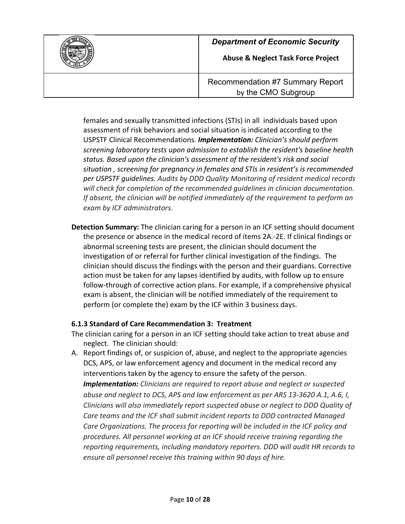

**Abuse & Neglect Task Force Project**

Recommendation #7 Summary Report by the CMO Subgroup

females and sexually transmitted infections (STIs) in all individuals based upon assessment of risk behaviors and social situation is indicated according to the USPSTF Clinical Recommendations*. Implementation: Clinician's should perform screening laboratory tests upon admission to establish the resident's baseline health status. Based upon the clinician's assessment of the resident's risk and social situation , screening for pregnancy in females and STIs in resident's is recommended per USPSTF guidelines. Audits by DDD Quality Monitoring of resident medical records will check for completion of the recommended guidelines in clinician documentation. If absent, the clinician will be notified immediately of the requirement to perform an exam by ICF administrators.*

**Detection Summary:** The clinician caring for a person in an ICF setting should document the presence or absence in the medical record of items 2A.-2E. If clinical findings or abnormal screening tests are present, the clinician should document the investigation of or referral for further clinical investigation of the findings. The clinician should discuss the findings with the person and their guardians. Corrective action must be taken for any lapses identified by audits, with follow up to ensure follow-through of corrective action plans. For example, if a comprehensive physical exam is absent, the clinician will be notified immediately of the requirement to perform (or complete the) exam by the ICF within 3 business days.

# **6.1.3 Standard of Care Recommendation 3: Treatment**

The clinician caring for a person in an ICF setting should take action to treat abuse and neglect. The clinician should:

A. Report findings of, or suspicion of, abuse, and neglect to the appropriate agencies DCS, APS, or law enforcement agency and document in the medical record any interventions taken by the agency to ensure the safety of the person. *Implementation: Clinicians are required to report abuse and neglect or suspected abuse and neglect to DCS, APS and law enforcement as per ARS 13-3620 A.1, A.6, I, Clinicians will also immediately report suspected abuse or neglect to DDD Quality of Care teams and the ICF shall submit incident reports to DDD contracted Managed Care Organizations. The process for reporting will be included in the ICF policy and procedures. All personnel working at an ICF should receive training regarding the reporting requirements, including mandatory reporters. DDD will audit HR records to ensure all personnel receive this training within 90 days of hire.*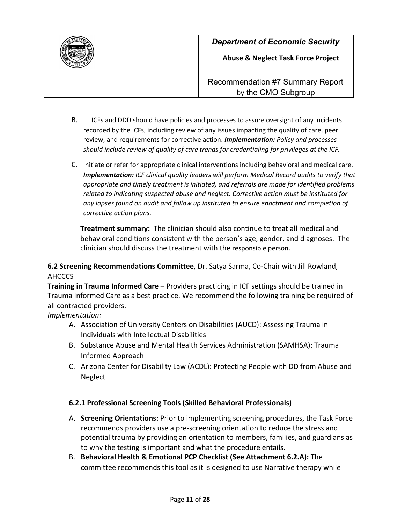

**Abuse & Neglect Task Force Project**

Recommendation #7 Summary Report by the CMO Subgroup

- B. ICFs and DDD should have policies and processes to assure oversight of any incidents recorded by the ICFs, including review of any issues impacting the quality of care, peer review, and requirements for corrective action. *Implementation: Policy and processes should include review of quality of care trends for credentialing for privileges at the ICF.*
- C. Initiate or refer for appropriate clinical interventions including behavioral and medical care. *Implementation: ICF clinical quality leaders will perform Medical Record audits to verify that appropriate and timely treatment is initiated, and referrals are made for identified problems related to indicating suspected abuse and neglect. Corrective action must be instituted for any lapses found on audit and follow up instituted to ensure enactment and completion of corrective action plans.*

**Treatment summary:** The clinician should also continue to treat all medical and behavioral conditions consistent with the person's age, gender, and diagnoses. The clinician should discuss the treatment with the responsible person.

# **6.2 Screening Recommendations Committee**, Dr. Satya Sarma, Co-Chair with Jill Rowland, AHCCCS

**Training in Trauma Informed Care** – Providers practicing in ICF settings should be trained in Trauma Informed Care as a best practice. We recommend the following training be required of all contracted providers.

*Implementation:*

- A. Association of University Centers on Disabilities (AUCD): Assessing Trauma in Individuals with Intellectual Disabilities
- B. Substance Abuse and Mental Health Services Administration (SAMHSA): Trauma Informed Approach
- C. Arizona Center for Disability Law (ACDL): Protecting People with DD from Abuse and Neglect

# **6.2.1 Professional Screening Tools (Skilled Behavioral Professionals)**

- A. **Screening Orientations:** Prior to implementing screening procedures, the Task Force recommends providers use a pre-screening orientation to reduce the stress and potential trauma by providing an orientation to members, families, and guardians as to why the testing is important and what the procedure entails.
- B. **Behavioral Health & Emotional PCP Checklist (See Attachment 6.2.A):** The committee recommends this tool as it is designed to use Narrative therapy while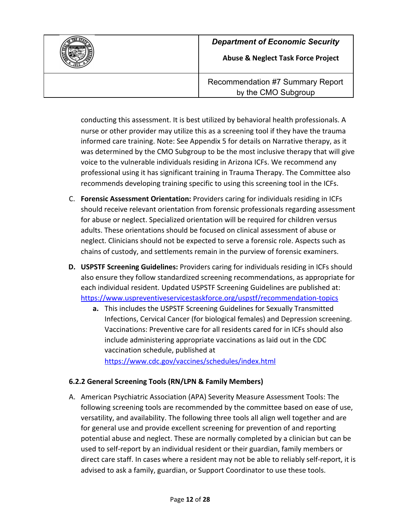

**Abuse & Neglect Task Force Project**

Recommendation #7 Summary Report by the CMO Subgroup

conducting this assessment. It is best utilized by behavioral health professionals. A nurse or other provider may utilize this as a screening tool if they have the trauma informed care training. Note: See Appendix 5 for details on Narrative therapy, as it was determined by the CMO Subgroup to be the most inclusive therapy that will give voice to the vulnerable individuals residing in Arizona ICFs. We recommend any professional using it has significant training in Trauma Therapy. The Committee also recommends developing training specific to using this screening tool in the ICFs.

- C. **Forensic Assessment Orientation:** Providers caring for individuals residing in ICFs should receive relevant orientation from forensic professionals regarding assessment for abuse or neglect. Specialized orientation will be required for children versus adults. These orientations should be focused on clinical assessment of abuse or neglect. Clinicians should not be expected to serve a forensic role. Aspects such as chains of custody, and settlements remain in the purview of forensic examiners.
- **D. USPSTF Screening Guidelines:** Providers caring for individuals residing in ICFs should also ensure they follow standardized screening recommendations, as appropriate for each individual resident. Updated USPSTF Screening Guidelines are published at: <https://www.uspreventiveservicestaskforce.org/uspstf/recommendation-topics>
	- **a.** This includes the USPSTF Screening Guidelines for Sexually Transmitted Infections, Cervical Cancer (for biological females) and Depression screening. Vaccinations: Preventive care for all residents cared for in ICFs should also include administering appropriate vaccinations as laid out in the CDC vaccination schedule, published at <https://www.cdc.gov/vaccines/schedules/index.html>

# **6.2.2 General Screening Tools (RN/LPN & Family Members)**

A. American Psychiatric Association (APA) Severity Measure Assessment Tools: The following screening tools are recommended by the committee based on ease of use, versatility, and availability. The following three tools all align well together and are for general use and provide excellent screening for prevention of and reporting potential abuse and neglect. These are normally completed by a clinician but can be used to self-report by an individual resident or their guardian, family members or direct care staff. In cases where a resident may not be able to reliably self-report, it is advised to ask a family, guardian, or Support Coordinator to use these tools.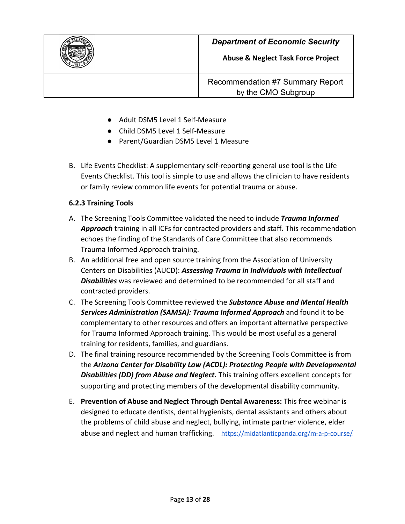

**Abuse & Neglect Task Force Project**



- Adult DSM5 Level 1 Self-Measure
- Child DSM5 Level 1 Self-Measure
- Parent/Guardian DSM5 Level 1 Measure
- B. Life Events Checklist: A supplementary self-reporting general use tool is the Life Events Checklist. This tool is simple to use and allows the clinician to have residents or family review common life events for potential trauma or abuse.

#### **6.2.3 Training Tools**

- A. The Screening Tools Committee validated the need to include *Trauma Informed Approach* training in all ICFs for contracted providers and staff*.* This recommendation echoes the finding of the Standards of Care Committee that also recommends Trauma Informed Approach training.
- B. An additional free and open source training from the Association of University Centers on Disabilities (AUCD): *Assessing Trauma in Individuals with Intellectual Disabilities* was reviewed and determined to be recommended for all staff and contracted providers.
- C. The Screening Tools Committee reviewed the *Substance Abuse and Mental Health Services Administration (SAMSA): Trauma Informed Approach* and found it to be complementary to other resources and offers an important alternative perspective for Trauma Informed Approach training. This would be most useful as a general training for residents, families, and guardians.
- D. The final training resource recommended by the Screening Tools Committee is from the *Arizona Center for Disability Law (ACDL): Protecting People with Developmental Disabilities (DD) from Abuse and Neglect.* This training offers excellent concepts for supporting and protecting members of the developmental disability community.
- E. **Prevention of Abuse and Neglect Through Dental Awareness:** This free webinar is designed to educate dentists, dental hygienists, dental assistants and others about the problems of child abuse and neglect, bullying, intimate partner violence, elder abuse and neglect and human trafficking. <https://midatlanticpanda.org/m-a-p-course/>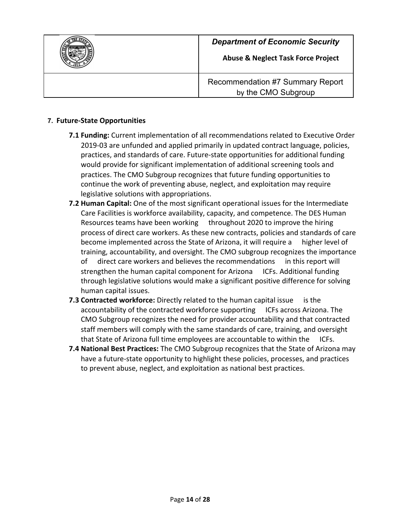

#### **7. Future-State Opportunities**

- **7.1 Funding:** Current implementation of all recommendations related to Executive Order 2019-03 are unfunded and applied primarily in updated contract language, policies, practices, and standards of care. Future-state opportunities for additional funding would provide for significant implementation of additional screening tools and practices. The CMO Subgroup recognizes that future funding opportunities to continue the work of preventing abuse, neglect, and exploitation may require legislative solutions with appropriations.
- **7.2 Human Capital:** One of the most significant operational issues for the Intermediate Care Facilities is workforce availability, capacity, and competence. The DES Human Resources teams have been working throughout 2020 to improve the hiring process of direct care workers. As these new contracts, policies and standards of care become implemented across the State of Arizona, it will require a higher level of training, accountability, and oversight. The CMO subgroup recognizes the importance of direct care workers and believes the recommendations in this report will strengthen the human capital component for Arizona ICFs. Additional funding through legislative solutions would make a significant positive difference for solving human capital issues.
- **7.3 Contracted workforce:** Directly related to the human capital issue is the accountability of the contracted workforce supporting ICFs across Arizona. The CMO Subgroup recognizes the need for provider accountability and that contracted staff members will comply with the same standards of care, training, and oversight that State of Arizona full time employees are accountable to within the ICFs.
- **7.4 National Best Practices:** The CMO Subgroup recognizes that the State of Arizona may have a future-state opportunity to highlight these policies, processes, and practices to prevent abuse, neglect, and exploitation as national best practices.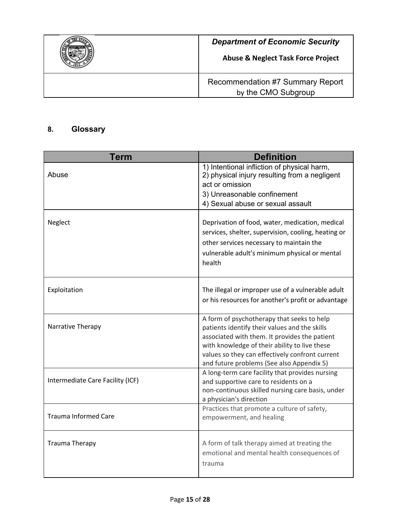| <b>Department of Economic Security</b><br><b>Abuse &amp; Neglect Task Force Project</b> |
|-----------------------------------------------------------------------------------------|
| Recommendation #7 Summary Report<br>by the CMO Subgroup                                 |

# **8. Glossary**

| Term                             | <b>Definition</b>                                                                                                                                                                                                                                                                             |
|----------------------------------|-----------------------------------------------------------------------------------------------------------------------------------------------------------------------------------------------------------------------------------------------------------------------------------------------|
| Abuse                            | 1) Intentional infliction of physical harm,<br>2) physical injury resulting from a negligent<br>act or omission                                                                                                                                                                               |
|                                  | 3) Unreasonable confinement<br>4) Sexual abuse or sexual assault                                                                                                                                                                                                                              |
| Neglect                          | Deprivation of food, water, medication, medical<br>services, shelter, supervision, cooling, heating or<br>other services necessary to maintain the<br>vulnerable adult's minimum physical or mental<br>health                                                                                 |
| Exploitation                     | The illegal or improper use of a vulnerable adult<br>or his resources for another's profit or advantage                                                                                                                                                                                       |
| Narrative Therapy                | A form of psychotherapy that seeks to help<br>patients identify their values and the skills<br>associated with them. It provides the patient<br>with knowledge of their ability to live these<br>values so they can effectively confront current<br>and future problems (See also Appendix 5) |
| Intermediate Care Facility (ICF) | A long-term care facility that provides nursing<br>and supportive care to residents on a<br>non-continuous skilled nursing care basis, under<br>a physician's direction                                                                                                                       |
| <b>Trauma Informed Care</b>      | Practices that promote a culture of safety,<br>empowerment, and healing                                                                                                                                                                                                                       |
| <b>Trauma Therapy</b>            | A form of talk therapy aimed at treating the<br>emotional and mental health consequences of<br>trauma                                                                                                                                                                                         |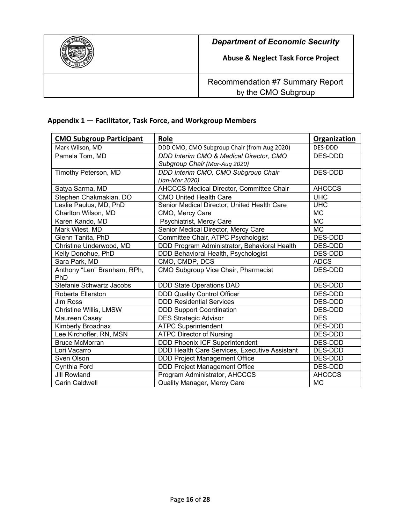

#### **Appendix 1 — Facilitator, Task Force, and Workgroup Members**

| <b>CMO Subgroup Participant</b>    | Role                                            | <b>Organization</b> |
|------------------------------------|-------------------------------------------------|---------------------|
| Mark Wilson, MD                    | DDD CMO, CMO Subgroup Chair (from Aug 2020)     | DES-DDD             |
| Pamela Tom, MD                     | DDD Interim CMO & Medical Director, CMO         | DES-DDD             |
|                                    | Subgroup Chair (Mar-Aug 2020)                   |                     |
| Timothy Peterson, MD               | DDD Interim CMO, CMO Subgroup Chair             | DES-DDD             |
|                                    | (Jan-Mar 2020)                                  |                     |
| Satya Sarma, MD                    | <b>AHCCCS Medical Director, Committee Chair</b> | <b>AHCCCS</b>       |
| Stephen Chakmakian, DO             | <b>CMO United Health Care</b>                   | <b>UHC</b>          |
| Leslie Paulus, MD, PhD             | Senior Medical Director, United Health Care     | <b>UHC</b>          |
| Charlton Wilson, MD                | CMO, Mercy Care                                 | <b>MC</b>           |
| Karen Kando, MD                    | Psychiatrist, Mercy Care                        | <b>MC</b>           |
| Mark Wiest, MD                     | Senior Medical Director, Mercy Care             | <b>MC</b>           |
| Glenn Tanita, PhD                  | Committee Chair, ATPC Psychologist              | DES-DDD             |
| Christine Underwood, MD            | DDD Program Administrator, Behavioral Health    | DES-DDD             |
| Kelly Donohue, PhD                 | DDD Behavioral Health, Psychologist             | DES-DDD             |
| Sara Park, MD                      | CMO, CMDP, DCS                                  | <b>ADCS</b>         |
| Anthony "Len" Branham, RPh,<br>PhD | CMO Subgroup Vice Chair, Pharmacist             | <b>DES-DDD</b>      |
| Stefanie Schwartz Jacobs           | DDD State Operations DAD                        | DES-DDD             |
| Roberta Ellerston                  | <b>DDD Quality Control Officer</b>              | DES-DDD             |
| Jim Ross                           | <b>DDD Residential Services</b>                 | DES-DDD             |
| Christine Willis, LMSW             | <b>DDD Support Coordination</b>                 | DES-DDD             |
| Maureen Casey                      | <b>DES Strategic Advisor</b>                    | <b>DES</b>          |
| Kimberly Broadnax                  | <b>ATPC Superintendent</b>                      | DES-DDD             |
| Lee Kirchoffer, RN, MSN            | <b>ATPC Director of Nursing</b>                 | DES-DDD             |
| <b>Bruce McMorran</b>              | <b>DDD Phoenix ICF Superintendent</b>           | DES-DDD             |
| Lori Vacarro                       | DDD Health Care Services, Executive Assistant   | DES-DDD             |
| Sven Olson                         | <b>DDD Project Management Office</b>            | DES-DDD             |
| Cynthia Ford                       | <b>DDD Project Management Office</b>            | DES-DDD             |
| <b>Jill Rowland</b>                | Program Administrator, AHCCCS                   | <b>AHCCCS</b>       |
| <b>Carin Caldwell</b>              | Quality Manager, Mercy Care                     | <b>MC</b>           |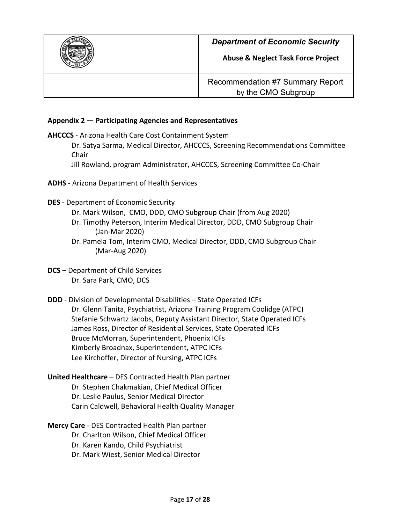

**Abuse & Neglect Task Force Project**

Recommendation #7 Summary Report by the CMO Subgroup

#### **Appendix 2 — Participating Agencies and Representatives**

**AHCCCS** - Arizona Health Care Cost Containment System

Dr. Satya Sarma, Medical Director, AHCCCS, Screening Recommendations Committee Chair

Jill Rowland, program Administrator, AHCCCS, Screening Committee Co-Chair

- **ADHS** Arizona Department of Health Services
- **DES** Department of Economic Security
	- Dr. Mark Wilson, CMO, DDD, CMO Subgroup Chair (from Aug 2020)
	- Dr. Timothy Peterson, Interim Medical Director, DDD, CMO Subgroup Chair (Jan-Mar 2020)
	- Dr. Pamela Tom, Interim CMO, Medical Director, DDD, CMO Subgroup Chair (Mar-Aug 2020)
- **DCS** Department of Child Services Dr. Sara Park, CMO, DCS
- **DDD** Division of Developmental Disabilities State Operated ICFs Dr. Glenn Tanita, Psychiatrist, Arizona Training Program Coolidge (ATPC) Stefanie Schwartz Jacobs, Deputy Assistant Director, State Operated ICFs James Ross, Director of Residential Services, State Operated ICFs Bruce McMorran, Superintendent, Phoenix ICFs Kimberly Broadnax, Superintendent, ATPC ICFs Lee Kirchoffer, Director of Nursing, ATPC ICFs
- **United Healthcare** DES Contracted Health Plan partner Dr. Stephen Chakmakian, Chief Medical Officer Dr. Leslie Paulus, Senior Medical Director Carin Caldwell, Behavioral Health Quality Manager
- **Mercy Care** DES Contracted Health Plan partner
	- Dr. Charlton Wilson, Chief Medical Officer
	- Dr. Karen Kando, Child Psychiatrist
	- Dr. Mark Wiest, Senior Medical Director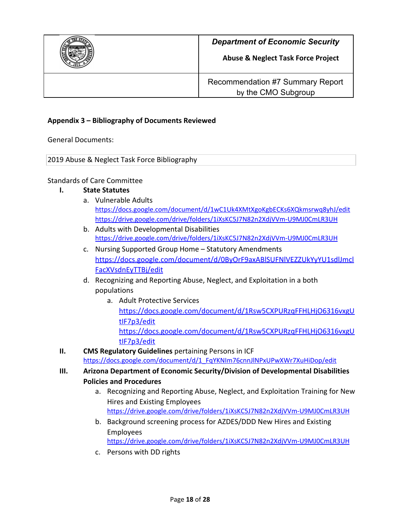

**Abuse & Neglect Task Force Project**

Recommendation #7 Summary Report by the CMO Subgroup

#### **Appendix 3 – Bibliography of Documents Reviewed**

General Documents:

2019 Abuse & Neglect Task Force Bibliography

#### Standards of Care Committee

#### **I. State Statutes**

- a. Vulnerable Adults <https://docs.google.com/document/d/1wC1Uk4XMtXgoKgbECKs6XQkmsrwq8yhJ/edit> <https://drive.google.com/drive/folders/1iXsKC5J7N82n2XdjVVm-U9MJ0CmLR3UH>
- b. Adults with Developmental Disabilities <https://drive.google.com/drive/folders/1iXsKC5J7N82n2XdjVVm-U9MJ0CmLR3UH>
- c. Nursing Supported Group Home Statutory Amendments [https://docs.google.com/document/d/0ByOrF9axABlSUFNlVEZZUkYyYU1sdlJmcl](https://docs.google.com/document/d/0ByOrF9axABlSUFNlVEZZUkYyYU1sdlJmclFacXVsdnEyTTBj/edit) [FacXVsdnEyTTBj/edit](https://docs.google.com/document/d/0ByOrF9axABlSUFNlVEZZUkYyYU1sdlJmclFacXVsdnEyTTBj/edit)
- d. Recognizing and Reporting Abuse, Neglect, and Exploitation in a both populations
	- a. Adult Protective Services [https://docs.google.com/document/d/1Rsw5CXPURzqFFHLHjO6316vxgU](https://docs.google.com/document/d/1Rsw5CXPURzqFFHLHjO6316vxgUtIF7p3/edit) [tIF7p3/edit](https://docs.google.com/document/d/1Rsw5CXPURzqFFHLHjO6316vxgUtIF7p3/edit) [https://docs.google.com/document/d/1Rsw5CXPURzqFFHLHjO6316vxgU](https://docs.google.com/document/d/1Rsw5CXPURzqFFHLHjO6316vxgUtIF7p3/edit) [tIF7p3/edit](https://docs.google.com/document/d/1Rsw5CXPURzqFFHLHjO6316vxgUtIF7p3/edit)
- **II. CMS Regulatory Guidelines** pertaining Persons in ICF [https://docs.google.com/document/d/1\\_FqYKNIm76cnnJlNPxUPwXWr7XuHiDop/edit](https://docs.google.com/document/d/1_FqYKNIm76cnnJlNPxUPwXWr7XuHiDop/edit)
- **III. Arizona Department of Economic Security/Division of Developmental Disabilities Policies and Procedures**
	- a. Recognizing and Reporting Abuse, Neglect, and Exploitation Training for New Hires and Existing Employees <https://drive.google.com/drive/folders/1iXsKC5J7N82n2XdjVVm-U9MJ0CmLR3UH>
	- b. Background screening process for AZDES/DDD New Hires and Existing Employees <https://drive.google.com/drive/folders/1iXsKC5J7N82n2XdjVVm-U9MJ0CmLR3UH>
	- c. Persons with DD rights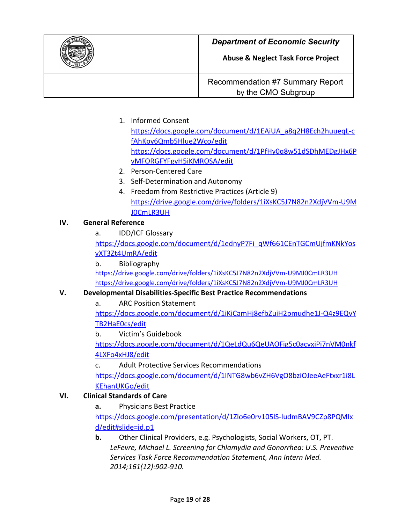

1. Informed Consent

[https://docs.google.com/document/d/1EAiUA\\_a8q2H8Ech2huueqL-c](https://docs.google.com/document/d/1EAiUA_a8q2H8Ech2huueqL-cfAhKpy6Qmb5Hlue2Wco/edit) [fAhKpy6Qmb5Hlue2Wco/edit](https://docs.google.com/document/d/1EAiUA_a8q2H8Ech2huueqL-cfAhKpy6Qmb5Hlue2Wco/edit) [https://docs.google.com/document/d/1PfHy0q8w51dSDhMEDgJHx6P](https://docs.google.com/document/d/1PfHy0q8w51dSDhMEDgJHx6PvMFORGFYFgvH5iKMROSA/edit) [vMFORGFYFgvH5iKMROSA/edit](https://docs.google.com/document/d/1PfHy0q8w51dSDhMEDgJHx6PvMFORGFYFgvH5iKMROSA/edit)

- 2. Person-Centered Care
- 3. Self-Determination and Autonomy
- 4. Freedom from Restrictive Practices (Article 9) [https://drive.google.com/drive/folders/1iXsKC5J7N82n2XdjVVm-U9M](https://drive.google.com/drive/folders/1iXsKC5J7N82n2XdjVVm-U9MJ0CmLR3UH) [J0CmLR3UH](https://drive.google.com/drive/folders/1iXsKC5J7N82n2XdjVVm-U9MJ0CmLR3UH)

# **IV. General Reference**

a. IDD/ICF Glossary

[https://docs.google.com/document/d/1ednyP7Fi\\_qWf661CEnTGCmUjfmKNkYos](https://docs.google.com/document/d/1ednyP7Fi_qWf661CEnTGCmUjfmKNkYosyXT3Zt4UmRA/edit) [yXT3Zt4UmRA/edit](https://docs.google.com/document/d/1ednyP7Fi_qWf661CEnTGCmUjfmKNkYosyXT3Zt4UmRA/edit)

b. Bibliography <https://drive.google.com/drive/folders/1iXsKC5J7N82n2XdjVVm-U9MJ0CmLR3UH> <https://drive.google.com/drive/folders/1iXsKC5J7N82n2XdjVVm-U9MJ0CmLR3UH>

# **V. Developmental Disabilities-Specific Best Practice Recommendations**

a. ARC Position Statement

[https://docs.google.com/document/d/1iKiCamHj8efbZuiH2pmudhe1J-Q4z9EQvY](https://docs.google.com/document/d/1iKiCamHj8efbZuiH2pmudhe1J-Q4z9EQvYTB2HaE0cs/edit) [TB2HaE0cs/edit](https://docs.google.com/document/d/1iKiCamHj8efbZuiH2pmudhe1J-Q4z9EQvYTB2HaE0cs/edit)

b. Victim's Guidebook

[https://docs.google.com/document/d/1QeLdQu6QeUAOFig5c0acvxiPi7nVM0nkf](https://docs.google.com/document/d/1QeLdQu6QeUAOFig5c0acvxiPi7nVM0nkf4LXFo4xHJ8/edit) [4LXFo4xHJ8/edit](https://docs.google.com/document/d/1QeLdQu6QeUAOFig5c0acvxiPi7nVM0nkf4LXFo4xHJ8/edit)

c. Adult Protective Services Recommendations

[https://docs.google.com/document/d/1INTG8wb6vZH6VgO8bziOJeeAeFtxxr1i8L](https://docs.google.com/document/d/1INTG8wb6vZH6VgO8bziOJeeAeFtxxr1i8LKEhanUKGo/edit) [KEhanUKGo/edit](https://docs.google.com/document/d/1INTG8wb6vZH6VgO8bziOJeeAeFtxxr1i8LKEhanUKGo/edit)

# **VI. Clinical Standards of Care**

**a.** Physicians Best Practice

[https://docs.google.com/presentation/d/1Zlo6e0rv105lS-ludmBAV9CZp8PQMIx](https://docs.google.com/presentation/d/1Zlo6e0rv105lS-ludmBAV9CZp8PQMIxd/edit#slide=id.p1) [d/edit#slide=id.p1](https://docs.google.com/presentation/d/1Zlo6e0rv105lS-ludmBAV9CZp8PQMIxd/edit#slide=id.p1)

**b.** Other Clinical Providers, e.g. Psychologists, Social Workers, OT, PT. *LeFevre, Michael L. Screening for Chlamydia and Gonorrhea: U.S. Preventive Services Task Force Recommendation Statement, Ann Intern Med. 2014;161(12):902-910.*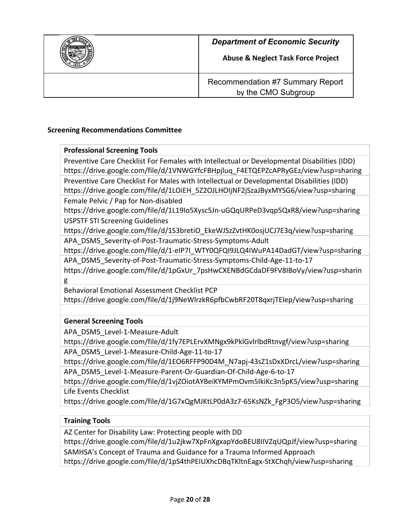

#### **Screening Recommendations Committee**

| <b>Professional Screening Tools</b>                                                                                    |
|------------------------------------------------------------------------------------------------------------------------|
| Preventive Care Checklist For Females with Intellectual or Developmental Disabilities (IDD)                            |
| https://drive.google.com/file/d/1VNWGYfcFBHpjluq_F4ETQEPZcAPRyGEz/view?usp=sharing                                     |
| Preventive Care Checklist For Males with Intellectual or Developmental Disabilities (IDD)                              |
| https://drive.google.com/file/d/1LOiEH_5Z2OJLHOIjNF2jSzaJByxMYSG6/view?usp=sharing                                     |
| Female Pelvic / Pap for Non-disabled                                                                                   |
| https://drive.google.com/file/d/1L19Io5Xysc5Jn-uGQqURPeD3vqp5QxR8/view?usp=sharing                                     |
| <b>USPSTF STI Screening Guidelines</b>                                                                                 |
| https://drive.google.com/file/d/1S3bretiO EkeWJSzZvtHK0osjUCJ7E3q/view?usp=sharing                                     |
| APA_DSM5_Severity-of-Post-Traumatic-Stress-Symptoms-Adult                                                              |
| https://drive.google.com/file/d/1-eIP7I WTY0QFQI9JLQ4IWuPA14DadGT/view?usp=sharing                                     |
| APA_DSM5_Severity-of-Post-Traumatic-Stress-Symptoms-Child-Age-11-to-17                                                 |
| https://drive.google.com/file/d/1pGxUr 7psHwCXENBdGCdaDF9FV8IBoVy/view?usp=sharin                                      |
| g                                                                                                                      |
| <b>Behavioral Emotional Assessment Checklist PCP</b>                                                                   |
| https://drive.google.com/file/d/1j9NeWlrzkR6pfbCwbRF20T8qxrjTElep/view?usp=sharing                                     |
|                                                                                                                        |
| <b>General Screening Tools</b>                                                                                         |
| APA DSM5 Level-1-Measure-Adult                                                                                         |
| $\mathbf{I}$ . If $\mathbf{I}$ is the second contract the second contract $\mathbf{I}$ is the contract of $\mathbf{I}$ |

https://drive.google.com/file/d/1fy7EPLErvXMNgx9kPklGvlrlbdRtnvgf/view?usp=sharing APA\_DSM5\_Level-1-Measure-Child-Age-11-to-17

https://drive.google.com/file/d/1EO6RFFP90D4M\_N7apj-43sZ1sDxXDrcL/view?usp=sharing APA\_DSM5\_Level-1-Measure-Parent-Or-Guardian-Of-Child-Age-6-to-17

https://drive.google.com/file/d/1vjZOiotAYBeiKYMPmOvm5IkiKc3n5pK5/view?usp=sharing Life Events Checklist

https://drive.google.com/file/d/1G7xQgMJKtLP0dA3z7-65KsNZk\_FgP3O5/view?usp=sharing

# **Training Tools**

AZ Center for Disability Law: Protecting people with DD

https://drive.google.com/file/d/1u2jkw7XpFnXgxapYdoBEU8IIVZqUQpJf/view?usp=sharing

SAMHSA's Concept of Trauma and Guidance for a Trauma Informed Approach

https://drive.google.com/file/d/1pS4thPEIUXhcDBqTKltnEagx-StXChqh/view?usp=sharing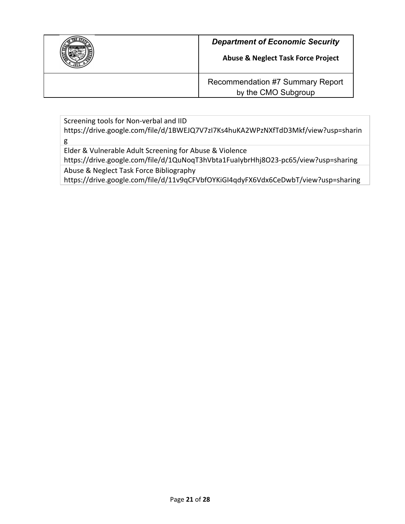| <b>Department of Economic Security</b><br><b>Abuse &amp; Neglect Task Force Project</b> |
|-----------------------------------------------------------------------------------------|
| Recommendation #7 Summary Report<br>by the CMO Subgroup                                 |

Screening tools for Non-verbal and IID https://drive.google.com/file/d/1BWEJQ7V7zI7Ks4huKA2WPzNXfTdD3Mkf/view?usp=sharin g Elder & Vulnerable Adult Screening for Abuse & Violence https://drive.google.com/file/d/1QuNoqT3hVbta1FuaIybrHhj8O23-pc65/view?usp=sharing

Abuse & Neglect Task Force Bibliography

https://drive.google.com/file/d/11v9qCFVbfOYKiGI4qdyFX6Vdx6CeDwbT/view?usp=sharing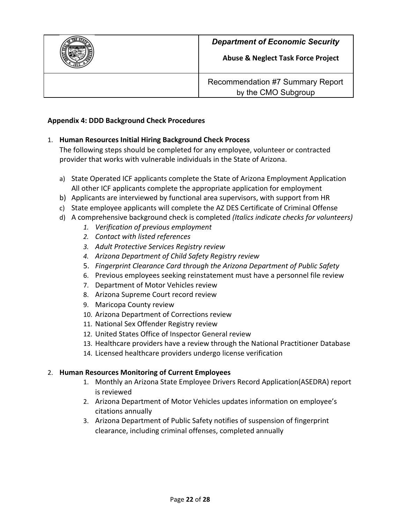

**Abuse & Neglect Task Force Project**

Recommendation #7 Summary Report by the CMO Subgroup

#### **Appendix 4: DDD Background Check Procedures**

#### 1. **Human Resources Initial Hiring Background Check Process**

The following steps should be completed for any employee, volunteer or contracted provider that works with vulnerable individuals in the State of Arizona.

- a) State Operated ICF applicants complete the State of Arizona Employment Application All other ICF applicants complete the appropriate application for employment
- b) Applicants are interviewed by functional area supervisors, with support from HR
- c) State employee applicants will complete the AZ DES Certificate of Criminal Offense
- d) A comprehensive background check is completed *(Italics indicate checks for volunteers)*
	- *1. Verification of previous employment*
	- *2. Contact with listed references*
	- *3. Adult Protective Services Registry review*
	- *4. Arizona Department of Child Safety Registry review*
	- 5. *Fingerprint Clearance Card through the Arizona Department of Public Safety*
	- 6. Previous employees seeking reinstatement must have a personnel file review
	- 7. Department of Motor Vehicles review
	- 8. Arizona Supreme Court record review
	- 9. Maricopa County review
	- 10. Arizona Department of Corrections review
	- 11. National Sex Offender Registry review
	- 12. United States Office of Inspector General review
	- 13. Healthcare providers have a review through the National Practitioner Database
	- 14. Licensed healthcare providers undergo license verification

# 2. **Human Resources Monitoring of Current Employees**

- 1. Monthly an Arizona State Employee Drivers Record Application(ASEDRA) report is reviewed
- 2. Arizona Department of Motor Vehicles updates information on employee's citations annually
- 3. Arizona Department of Public Safety notifies of suspension of fingerprint clearance, including criminal offenses, completed annually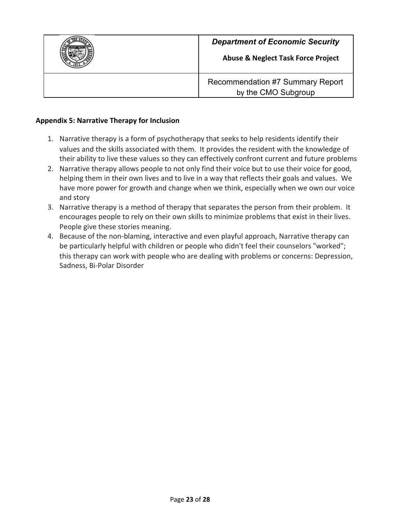

#### **Appendix 5: Narrative Therapy for Inclusion**

- 1. Narrative therapy is a form of psychotherapy that seeks to help residents identify their values and the skills associated with them. It provides the resident with the knowledge of their ability to live these values so they can effectively confront current and future problems
- 2. Narrative therapy allows people to not only find their voice but to use their voice for good, helping them in their own lives and to live in a way that reflects their goals and values. We have more power for growth and change when we think, especially when we own our voice and story
- 3. Narrative therapy is a method of therapy that separates the person from their problem. It encourages people to rely on their own skills to minimize problems that exist in their lives. People give these stories meaning.
- 4. Because of the non-blaming, interactive and even playful approach, Narrative therapy can be particularly helpful with children or people who didn't feel their counselors "worked"; this therapy can work with people who are dealing with problems or concerns: Depression, Sadness, Bi-Polar Disorder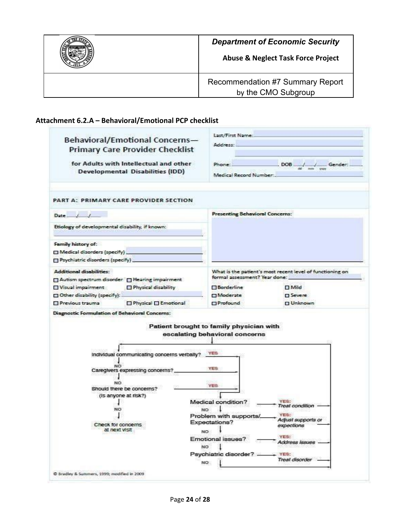| <b>Department of Economic Security</b><br><b>Abuse &amp; Neglect Task Force Project</b> |
|-----------------------------------------------------------------------------------------|
| Recommendation #7 Summary Report<br>by the CMO Subgroup                                 |

# **Attachment 6.2.A – Behavioral/Emotional PCP checklist**

| Behavioral/Emotional Concerns-<br><b>Primary Care Provider Checklist</b><br>for Adults with Intellectual and other<br><b>Developmental Disabilities (IDD)</b> | Last/First Name:<br>Address:<br>$DOB \xrightarrow{\text{all}} \xrightarrow{\text{max}} \text{Sum}$<br>Phone:<br>Medical Record Number: |
|---------------------------------------------------------------------------------------------------------------------------------------------------------------|----------------------------------------------------------------------------------------------------------------------------------------|
| PART A: PRIMARY CARE PROVIDER SECTION                                                                                                                         |                                                                                                                                        |
| Date                                                                                                                                                          | <b>Presenting Behavioral Concerns:</b>                                                                                                 |
| Etiology of developmental disability, if known:                                                                                                               |                                                                                                                                        |
| Family history of:                                                                                                                                            |                                                                                                                                        |
| Medical disorders (specify)                                                                                                                                   |                                                                                                                                        |
| Psychiatric disorders (specify)_                                                                                                                              |                                                                                                                                        |
| Additional disabilities:                                                                                                                                      | What is the patient's most recent level of functioning on                                                                              |
| Autism spectrum disorder In Hearing impairment                                                                                                                | formal assessment? Year done:                                                                                                          |
| Visual impairment<br>Physical disability                                                                                                                      | <b>Borderline</b><br>□ Mild                                                                                                            |
| Other disability (specify):                                                                                                                                   | Moderate<br><b>D</b> Severe                                                                                                            |
| □ Physical □ Emotional<br>Previous trauma                                                                                                                     | Profound<br><b>DUnknown</b>                                                                                                            |
|                                                                                                                                                               | Patient brought to family physician with<br>escalating behavioral concerns                                                             |
|                                                                                                                                                               |                                                                                                                                        |
| individual communicating concerns verbally?<br>NO<br>Caregivers expressing concerns?                                                                          | YE <sub>8</sub><br><b>YES</b>                                                                                                          |
| NO <sub>1</sub>                                                                                                                                               | YES                                                                                                                                    |
| Should there be concerns?                                                                                                                                     |                                                                                                                                        |
| (Is anyone at risk?)                                                                                                                                          | YES:<br>Medical condition?                                                                                                             |
| NΟ                                                                                                                                                            | Treat condition<br><b>NO</b>                                                                                                           |
|                                                                                                                                                               | YES.<br>Problem with supports/                                                                                                         |
| Check for concerns                                                                                                                                            | Adjust supports or<br>Expectations?<br>екресиоли                                                                                       |
| at next visit                                                                                                                                                 | NO                                                                                                                                     |
|                                                                                                                                                               | YES:<br>Emotional issues?<br>Address issues                                                                                            |
|                                                                                                                                                               | NO                                                                                                                                     |
|                                                                                                                                                               | Psychiatric disorder? -<br>$YES$ :<br>Treat disorder                                                                                   |
|                                                                                                                                                               | NO.                                                                                                                                    |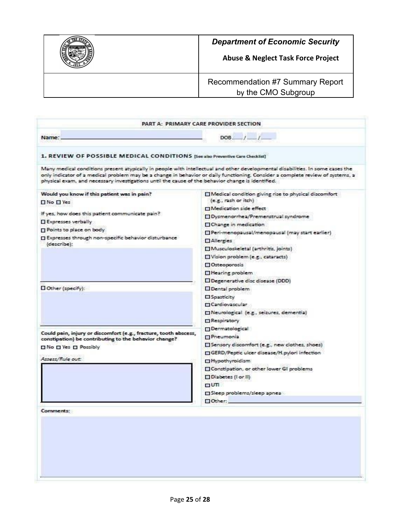

**Abuse & Neglect Task Force Project**

Recommendation #7 Summary Report by the CMO Subgroup

|                                                                                                                                                                                                                                                                                                                                                                       | PART A: PRIMARY CARE PROVIDER SECTION.                                                                                              |
|-----------------------------------------------------------------------------------------------------------------------------------------------------------------------------------------------------------------------------------------------------------------------------------------------------------------------------------------------------------------------|-------------------------------------------------------------------------------------------------------------------------------------|
| Name:                                                                                                                                                                                                                                                                                                                                                                 | $DOB$ $1 - 1$                                                                                                                       |
| 1. REVIEW OF POSSIBLE MEDICAL CONDITIONS [See also Preventive Care Checklist]                                                                                                                                                                                                                                                                                         |                                                                                                                                     |
| Many medical conditions present atypically in people with intellectual and other developmental disabilities. In some cases the<br>only indicator of a medical problem may be a change in behavior or daily functioning. Consider a complete review of systems, a<br>physical exam, and necessary investigations until the cause of the behavior change is identified. |                                                                                                                                     |
| Would you know if this patient was in pain?<br><b>No Dives</b>                                                                                                                                                                                                                                                                                                        | Medical condition giving rise to physical discomfort<br>(e.g., rash or itch)<br>Medication side effect                              |
| If yes, how does this patient communicate pain?<br>Expresses verbally                                                                                                                                                                                                                                                                                                 | Dysmenorrhea/Premenstrual syndrome<br>Change in medication                                                                          |
| Points to place on body<br>□ Expresses through non-specific behavior disturbance                                                                                                                                                                                                                                                                                      | Peri-menopausal/menopausal (may start earlier)<br>Allergies                                                                         |
| (describe):                                                                                                                                                                                                                                                                                                                                                           | Musculoskeletal (arthritis, joints)<br>Vision problem (e.g., cataracts)<br>Osteoporosis                                             |
|                                                                                                                                                                                                                                                                                                                                                                       | Hearing problem<br>Degenerative disc disease (DDD)                                                                                  |
| $\Box$ Other (specify):                                                                                                                                                                                                                                                                                                                                               | Dental problem<br>Spasticity<br><b>El Cardiovascular</b><br>Neurological (e.g., seizures, dementia)<br>Respiratory                  |
| Could pain, injury or discomfort (e.g., fracture, tooth abscess,<br>constipation) be contributing to the behavior change?<br>□ No □ Yes □ Possibly                                                                                                                                                                                                                    | <b>Dermatological</b><br>Pheumonia<br>Sensory discomfort (e.g., new clothes, shoes)<br>GERD/Peptic ulcer disease/H.pylori infection |
| Assess/Rule out:                                                                                                                                                                                                                                                                                                                                                      | Hypothyroidism<br>Constipation, or other lower GI problems<br>Diabetes (I or II)                                                    |
|                                                                                                                                                                                                                                                                                                                                                                       | TUT<br>Sleep problems/sleep apnea                                                                                                   |
|                                                                                                                                                                                                                                                                                                                                                                       | Other:                                                                                                                              |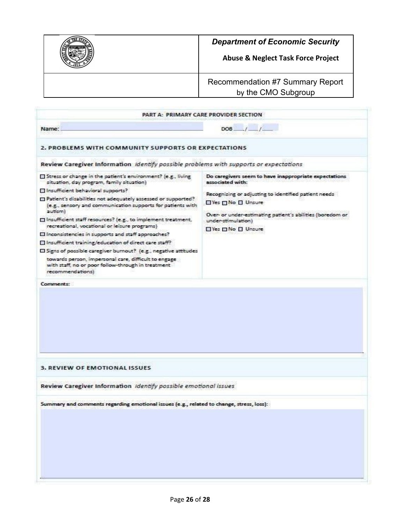

**Abuse & Neglect Task Force Project**

Recommendation #7 Summary Report by the CMO Subgroup

| PART A: PRIMARY CARE PROVIDER SECTION                                                                                                                                                                                                                                                                                                                                                                                                                                                                                                                                                                                                                                                                                                  |                                                                                                                                                                                                                                                                 |
|----------------------------------------------------------------------------------------------------------------------------------------------------------------------------------------------------------------------------------------------------------------------------------------------------------------------------------------------------------------------------------------------------------------------------------------------------------------------------------------------------------------------------------------------------------------------------------------------------------------------------------------------------------------------------------------------------------------------------------------|-----------------------------------------------------------------------------------------------------------------------------------------------------------------------------------------------------------------------------------------------------------------|
| Name:                                                                                                                                                                                                                                                                                                                                                                                                                                                                                                                                                                                                                                                                                                                                  | $DOB$ $1 - 1$                                                                                                                                                                                                                                                   |
| 2. PROBLEMS WITH COMMUNITY SUPPORTS OR EXPECTATIONS                                                                                                                                                                                                                                                                                                                                                                                                                                                                                                                                                                                                                                                                                    |                                                                                                                                                                                                                                                                 |
| Review Caregiver Information identify possible problems with supports or expectations                                                                                                                                                                                                                                                                                                                                                                                                                                                                                                                                                                                                                                                  |                                                                                                                                                                                                                                                                 |
| Stress or change in the patient's environment? (e.g., living<br>situation, day program, family situation)<br>Insufficient behavioral supports?<br>El Patient's disabilities not adequately assessed or supported?<br>(e.g., sensory and communication supports for patients with<br>autism)<br>□ Insufficient staff resources? (e.g., to implement treatment,<br>recreational, vocational or leisure programs)<br>El Inconsistencies in supports and staff approaches?<br>Insufficient training/education of direct care staff?<br>El Signs of possible caregiver burnout? (e.g., negative attitudes<br>towards person, impersonal care, difficult to engage<br>with staff, no or poor follow-through in treatment<br>recommendations) | Do caregivers seem to have inappropriate expectations<br>associated with:<br>Recognizing or adjusting to identified patient needs<br>□Yes □ No □ Unsure<br>Over- or under-estimating patient's abilities (boredom or<br>under-stimulation)<br>□Yes □No □ Unsure |
|                                                                                                                                                                                                                                                                                                                                                                                                                                                                                                                                                                                                                                                                                                                                        |                                                                                                                                                                                                                                                                 |
|                                                                                                                                                                                                                                                                                                                                                                                                                                                                                                                                                                                                                                                                                                                                        |                                                                                                                                                                                                                                                                 |
| <b>3. REVIEW OF EMOTIONAL ISSUES</b>                                                                                                                                                                                                                                                                                                                                                                                                                                                                                                                                                                                                                                                                                                   |                                                                                                                                                                                                                                                                 |
| Review Caregiver Information Identify possible emotional issues                                                                                                                                                                                                                                                                                                                                                                                                                                                                                                                                                                                                                                                                        |                                                                                                                                                                                                                                                                 |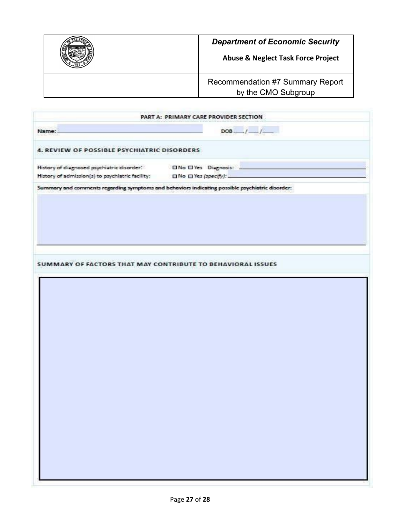

|                                                                                                                                                              | PART A: PRIMARY CARE PROVIDER SECTION                                                           |
|--------------------------------------------------------------------------------------------------------------------------------------------------------------|-------------------------------------------------------------------------------------------------|
| Name:                                                                                                                                                        | $DOB$ $1 - 1$                                                                                   |
| 4. REVIEW OF POSSIBLE PSYCHIATRIC DISORDERS                                                                                                                  |                                                                                                 |
| History of diagnosed psychiatric disorder. [ INo II Yes Diagnosis:<br>History of admission(s) to psychiatric facility: $\square$ No $\square$ Yes (specify): |                                                                                                 |
|                                                                                                                                                              | Summary and comments regarding symptoms and behaviors indicating possible psychiatric disorder: |
|                                                                                                                                                              |                                                                                                 |
|                                                                                                                                                              |                                                                                                 |
|                                                                                                                                                              |                                                                                                 |
|                                                                                                                                                              |                                                                                                 |
|                                                                                                                                                              |                                                                                                 |
|                                                                                                                                                              | SUMMARY OF FACTORS THAT MAY CONTRIBUTE TO BEHAVIORAL ISSUES                                     |
|                                                                                                                                                              |                                                                                                 |
|                                                                                                                                                              |                                                                                                 |
|                                                                                                                                                              |                                                                                                 |
|                                                                                                                                                              |                                                                                                 |
|                                                                                                                                                              |                                                                                                 |
|                                                                                                                                                              |                                                                                                 |
|                                                                                                                                                              |                                                                                                 |
|                                                                                                                                                              |                                                                                                 |
|                                                                                                                                                              |                                                                                                 |
|                                                                                                                                                              |                                                                                                 |
|                                                                                                                                                              |                                                                                                 |
|                                                                                                                                                              |                                                                                                 |
|                                                                                                                                                              |                                                                                                 |
|                                                                                                                                                              |                                                                                                 |
|                                                                                                                                                              |                                                                                                 |
|                                                                                                                                                              |                                                                                                 |
|                                                                                                                                                              |                                                                                                 |
|                                                                                                                                                              |                                                                                                 |
|                                                                                                                                                              |                                                                                                 |
|                                                                                                                                                              |                                                                                                 |